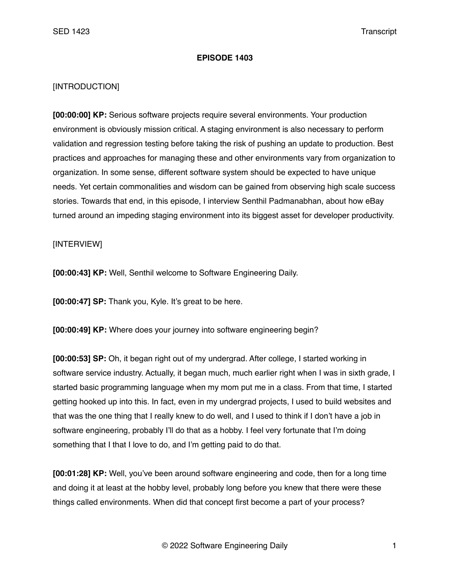## **EPISODE 1403**

## [INTRODUCTION]

**[00:00:00] KP:** Serious software projects require several environments. Your production environment is obviously mission critical. A staging environment is also necessary to perform validation and regression testing before taking the risk of pushing an update to production. Best practices and approaches for managing these and other environments vary from organization to organization. In some sense, different software system should be expected to have unique needs. Yet certain commonalities and wisdom can be gained from observing high scale success stories. Towards that end, in this episode, I interview Senthil Padmanabhan, about how eBay turned around an impeding staging environment into its biggest asset for developer productivity.

## [INTERVIEW]

**[00:00:43] KP:** Well, Senthil welcome to Software Engineering Daily.

**[00:00:47] SP:** Thank you, Kyle. It's great to be here.

**[00:00:49] KP:** Where does your journey into software engineering begin?

**[00:00:53] SP:** Oh, it began right out of my undergrad. After college, I started working in software service industry. Actually, it began much, much earlier right when I was in sixth grade, I started basic programming language when my mom put me in a class. From that time, I started getting hooked up into this. In fact, even in my undergrad projects, I used to build websites and that was the one thing that I really knew to do well, and I used to think if I don't have a job in software engineering, probably I'll do that as a hobby. I feel very fortunate that I'm doing something that I that I love to do, and I'm getting paid to do that.

**[00:01:28] KP:** Well, you've been around software engineering and code, then for a long time and doing it at least at the hobby level, probably long before you knew that there were these things called environments. When did that concept first become a part of your process?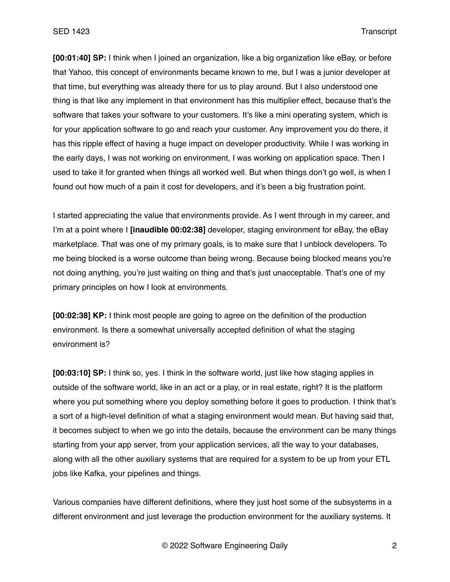**[00:01:40] SP:** I think when I joined an organization, like a big organization like eBay, or before that Yahoo, this concept of environments became known to me, but I was a junior developer at that time, but everything was already there for us to play around. But I also understood one thing is that like any implement in that environment has this multiplier effect, because that's the software that takes your software to your customers. It's like a mini operating system, which is for your application software to go and reach your customer. Any improvement you do there, it has this ripple effect of having a huge impact on developer productivity. While I was working in the early days, I was not working on environment, I was working on application space. Then I used to take it for granted when things all worked well. But when things don't go well, is when I found out how much of a pain it cost for developers, and it's been a big frustration point.

I started appreciating the value that environments provide. As I went through in my career, and I'm at a point where I **[inaudible 00:02:38]** developer, staging environment for eBay, the eBay marketplace. That was one of my primary goals, is to make sure that I unblock developers. To me being blocked is a worse outcome than being wrong. Because being blocked means you're not doing anything, you're just waiting on thing and that's just unacceptable. That's one of my primary principles on how I look at environments.

**[00:02:38] KP:** I think most people are going to agree on the definition of the production environment. Is there a somewhat universally accepted definition of what the staging environment is?

**[00:03:10] SP:** I think so, yes. I think in the software world, just like how staging applies in outside of the software world, like in an act or a play, or in real estate, right? It is the platform where you put something where you deploy something before it goes to production. I think that's a sort of a high-level definition of what a staging environment would mean. But having said that, it becomes subject to when we go into the details, because the environment can be many things starting from your app server, from your application services, all the way to your databases, along with all the other auxiliary systems that are required for a system to be up from your ETL jobs like Kafka, your pipelines and things.

Various companies have different definitions, where they just host some of the subsystems in a different environment and just leverage the production environment for the auxiliary systems. It

© 2022 Software Engineering Daily 2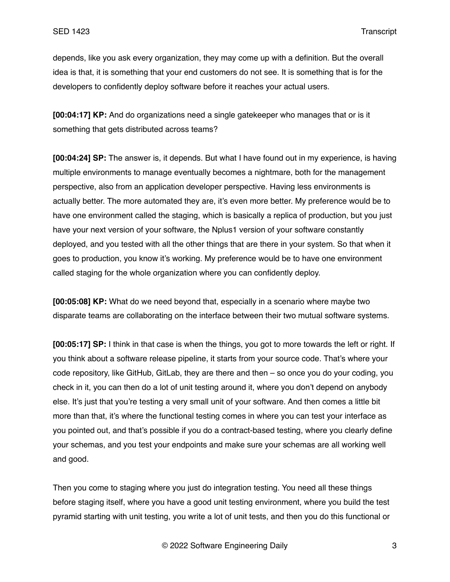depends, like you ask every organization, they may come up with a definition. But the overall idea is that, it is something that your end customers do not see. It is something that is for the developers to confidently deploy software before it reaches your actual users.

**[00:04:17] KP:** And do organizations need a single gatekeeper who manages that or is it something that gets distributed across teams?

**[00:04:24] SP:** The answer is, it depends. But what I have found out in my experience, is having multiple environments to manage eventually becomes a nightmare, both for the management perspective, also from an application developer perspective. Having less environments is actually better. The more automated they are, it's even more better. My preference would be to have one environment called the staging, which is basically a replica of production, but you just have your next version of your software, the Nplus1 version of your software constantly deployed, and you tested with all the other things that are there in your system. So that when it goes to production, you know it's working. My preference would be to have one environment called staging for the whole organization where you can confidently deploy.

**[00:05:08] KP:** What do we need beyond that, especially in a scenario where maybe two disparate teams are collaborating on the interface between their two mutual software systems.

**[00:05:17] SP:** I think in that case is when the things, you got to more towards the left or right. If you think about a software release pipeline, it starts from your source code. That's where your code repository, like GitHub, GitLab, they are there and then – so once you do your coding, you check in it, you can then do a lot of unit testing around it, where you don't depend on anybody else. It's just that you're testing a very small unit of your software. And then comes a little bit more than that, it's where the functional testing comes in where you can test your interface as you pointed out, and that's possible if you do a contract-based testing, where you clearly define your schemas, and you test your endpoints and make sure your schemas are all working well and good.

Then you come to staging where you just do integration testing. You need all these things before staging itself, where you have a good unit testing environment, where you build the test pyramid starting with unit testing, you write a lot of unit tests, and then you do this functional or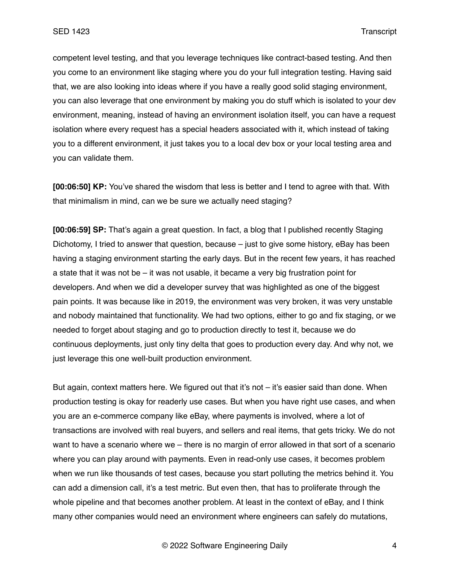competent level testing, and that you leverage techniques like contract-based testing. And then you come to an environment like staging where you do your full integration testing. Having said that, we are also looking into ideas where if you have a really good solid staging environment, you can also leverage that one environment by making you do stuff which is isolated to your dev environment, meaning, instead of having an environment isolation itself, you can have a request isolation where every request has a special headers associated with it, which instead of taking you to a different environment, it just takes you to a local dev box or your local testing area and you can validate them.

**[00:06:50] KP:** You've shared the wisdom that less is better and I tend to agree with that. With that minimalism in mind, can we be sure we actually need staging?

**[00:06:59] SP:** That's again a great question. In fact, a blog that I published recently Staging Dichotomy, I tried to answer that question, because – just to give some history, eBay has been having a staging environment starting the early days. But in the recent few years, it has reached a state that it was not be – it was not usable, it became a very big frustration point for developers. And when we did a developer survey that was highlighted as one of the biggest pain points. It was because like in 2019, the environment was very broken, it was very unstable and nobody maintained that functionality. We had two options, either to go and fix staging, or we needed to forget about staging and go to production directly to test it, because we do continuous deployments, just only tiny delta that goes to production every day. And why not, we just leverage this one well-built production environment.

But again, context matters here. We figured out that it's not – it's easier said than done. When production testing is okay for readerly use cases. But when you have right use cases, and when you are an e-commerce company like eBay, where payments is involved, where a lot of transactions are involved with real buyers, and sellers and real items, that gets tricky. We do not want to have a scenario where we – there is no margin of error allowed in that sort of a scenario where you can play around with payments. Even in read-only use cases, it becomes problem when we run like thousands of test cases, because you start polluting the metrics behind it. You can add a dimension call, it's a test metric. But even then, that has to proliferate through the whole pipeline and that becomes another problem. At least in the context of eBay, and I think many other companies would need an environment where engineers can safely do mutations,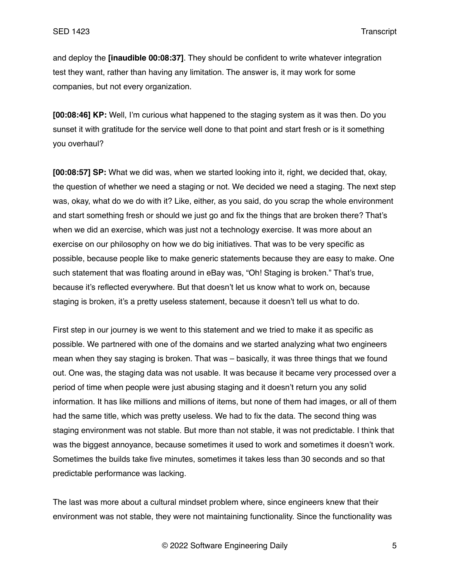and deploy the **[inaudible 00:08:37]**. They should be confident to write whatever integration test they want, rather than having any limitation. The answer is, it may work for some companies, but not every organization.

**[00:08:46] KP:** Well, I'm curious what happened to the staging system as it was then. Do you sunset it with gratitude for the service well done to that point and start fresh or is it something you overhaul?

**[00:08:57] SP:** What we did was, when we started looking into it, right, we decided that, okay, the question of whether we need a staging or not. We decided we need a staging. The next step was, okay, what do we do with it? Like, either, as you said, do you scrap the whole environment and start something fresh or should we just go and fix the things that are broken there? That's when we did an exercise, which was just not a technology exercise. It was more about an exercise on our philosophy on how we do big initiatives. That was to be very specific as possible, because people like to make generic statements because they are easy to make. One such statement that was floating around in eBay was, "Oh! Staging is broken." That's true, because it's reflected everywhere. But that doesn't let us know what to work on, because staging is broken, it's a pretty useless statement, because it doesn't tell us what to do.

First step in our journey is we went to this statement and we tried to make it as specific as possible. We partnered with one of the domains and we started analyzing what two engineers mean when they say staging is broken. That was – basically, it was three things that we found out. One was, the staging data was not usable. It was because it became very processed over a period of time when people were just abusing staging and it doesn't return you any solid information. It has like millions and millions of items, but none of them had images, or all of them had the same title, which was pretty useless. We had to fix the data. The second thing was staging environment was not stable. But more than not stable, it was not predictable. I think that was the biggest annoyance, because sometimes it used to work and sometimes it doesn't work. Sometimes the builds take five minutes, sometimes it takes less than 30 seconds and so that predictable performance was lacking.

The last was more about a cultural mindset problem where, since engineers knew that their environment was not stable, they were not maintaining functionality. Since the functionality was

© 2022 Software Engineering Daily 5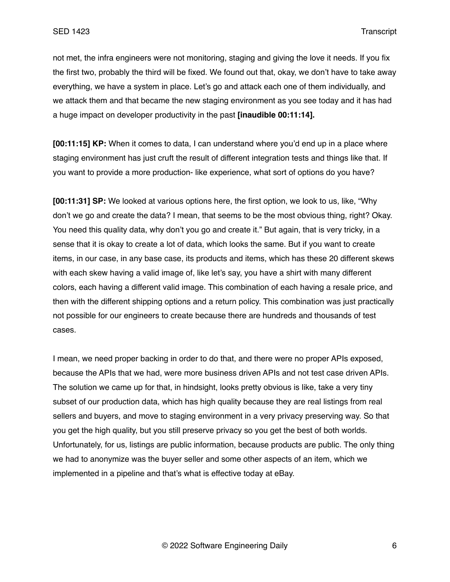not met, the infra engineers were not monitoring, staging and giving the love it needs. If you fix the first two, probably the third will be fixed. We found out that, okay, we don't have to take away everything, we have a system in place. Let's go and attack each one of them individually, and we attack them and that became the new staging environment as you see today and it has had a huge impact on developer productivity in the past **[inaudible 00:11:14].**

**[00:11:15] KP:** When it comes to data, I can understand where you'd end up in a place where staging environment has just cruft the result of different integration tests and things like that. If you want to provide a more production- like experience, what sort of options do you have?

**[00:11:31] SP:** We looked at various options here, the first option, we look to us, like, "Why don't we go and create the data? I mean, that seems to be the most obvious thing, right? Okay. You need this quality data, why don't you go and create it." But again, that is very tricky, in a sense that it is okay to create a lot of data, which looks the same. But if you want to create items, in our case, in any base case, its products and items, which has these 20 different skews with each skew having a valid image of, like let's say, you have a shirt with many different colors, each having a different valid image. This combination of each having a resale price, and then with the different shipping options and a return policy. This combination was just practically not possible for our engineers to create because there are hundreds and thousands of test cases.

I mean, we need proper backing in order to do that, and there were no proper APIs exposed, because the APIs that we had, were more business driven APIs and not test case driven APIs. The solution we came up for that, in hindsight, looks pretty obvious is like, take a very tiny subset of our production data, which has high quality because they are real listings from real sellers and buyers, and move to staging environment in a very privacy preserving way. So that you get the high quality, but you still preserve privacy so you get the best of both worlds. Unfortunately, for us, listings are public information, because products are public. The only thing we had to anonymize was the buyer seller and some other aspects of an item, which we implemented in a pipeline and that's what is effective today at eBay.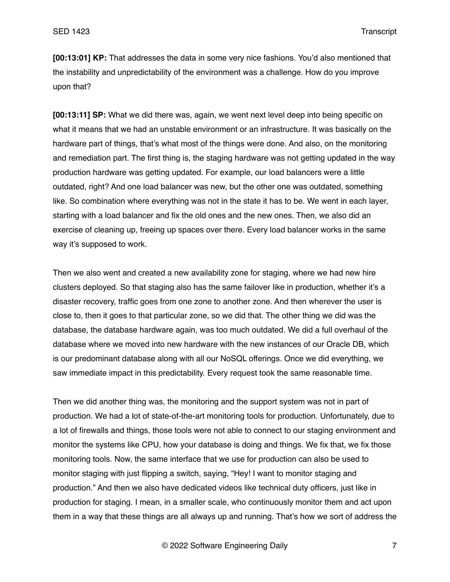**[00:13:01] KP:** That addresses the data in some very nice fashions. You'd also mentioned that the instability and unpredictability of the environment was a challenge. How do you improve upon that?

**[00:13:11] SP:** What we did there was, again, we went next level deep into being specific on what it means that we had an unstable environment or an infrastructure. It was basically on the hardware part of things, that's what most of the things were done. And also, on the monitoring and remediation part. The first thing is, the staging hardware was not getting updated in the way production hardware was getting updated. For example, our load balancers were a little outdated, right? And one load balancer was new, but the other one was outdated, something like. So combination where everything was not in the state it has to be. We went in each layer, starting with a load balancer and fix the old ones and the new ones. Then, we also did an exercise of cleaning up, freeing up spaces over there. Every load balancer works in the same way it's supposed to work.

Then we also went and created a new availability zone for staging, where we had new hire clusters deployed. So that staging also has the same failover like in production, whether it's a disaster recovery, traffic goes from one zone to another zone. And then wherever the user is close to, then it goes to that particular zone, so we did that. The other thing we did was the database, the database hardware again, was too much outdated. We did a full overhaul of the database where we moved into new hardware with the new instances of our Oracle DB, which is our predominant database along with all our NoSQL offerings. Once we did everything, we saw immediate impact in this predictability. Every request took the same reasonable time.

Then we did another thing was, the monitoring and the support system was not in part of production. We had a lot of state-of-the-art monitoring tools for production. Unfortunately, due to a lot of firewalls and things, those tools were not able to connect to our staging environment and monitor the systems like CPU, how your database is doing and things. We fix that, we fix those monitoring tools. Now, the same interface that we use for production can also be used to monitor staging with just flipping a switch, saying, "Hey! I want to monitor staging and production." And then we also have dedicated videos like technical duty officers, just like in production for staging. I mean, in a smaller scale, who continuously monitor them and act upon them in a way that these things are all always up and running. That's how we sort of address the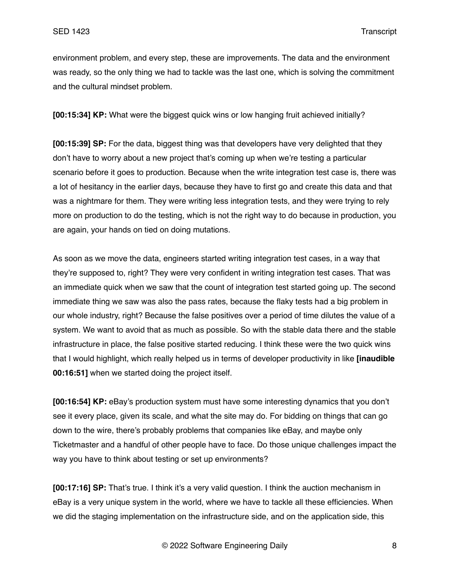environment problem, and every step, these are improvements. The data and the environment was ready, so the only thing we had to tackle was the last one, which is solving the commitment and the cultural mindset problem.

**[00:15:34] KP:** What were the biggest quick wins or low hanging fruit achieved initially?

**[00:15:39] SP:** For the data, biggest thing was that developers have very delighted that they don't have to worry about a new project that's coming up when we're testing a particular scenario before it goes to production. Because when the write integration test case is, there was a lot of hesitancy in the earlier days, because they have to first go and create this data and that was a nightmare for them. They were writing less integration tests, and they were trying to rely more on production to do the testing, which is not the right way to do because in production, you are again, your hands on tied on doing mutations.

As soon as we move the data, engineers started writing integration test cases, in a way that they're supposed to, right? They were very confident in writing integration test cases. That was an immediate quick when we saw that the count of integration test started going up. The second immediate thing we saw was also the pass rates, because the flaky tests had a big problem in our whole industry, right? Because the false positives over a period of time dilutes the value of a system. We want to avoid that as much as possible. So with the stable data there and the stable infrastructure in place, the false positive started reducing. I think these were the two quick wins that I would highlight, which really helped us in terms of developer productivity in like **[inaudible 00:16:51]** when we started doing the project itself.

**[00:16:54] KP:** eBay's production system must have some interesting dynamics that you don't see it every place, given its scale, and what the site may do. For bidding on things that can go down to the wire, there's probably problems that companies like eBay, and maybe only Ticketmaster and a handful of other people have to face. Do those unique challenges impact the way you have to think about testing or set up environments?

**[00:17:16] SP:** That's true. I think it's a very valid question. I think the auction mechanism in eBay is a very unique system in the world, where we have to tackle all these efficiencies. When we did the staging implementation on the infrastructure side, and on the application side, this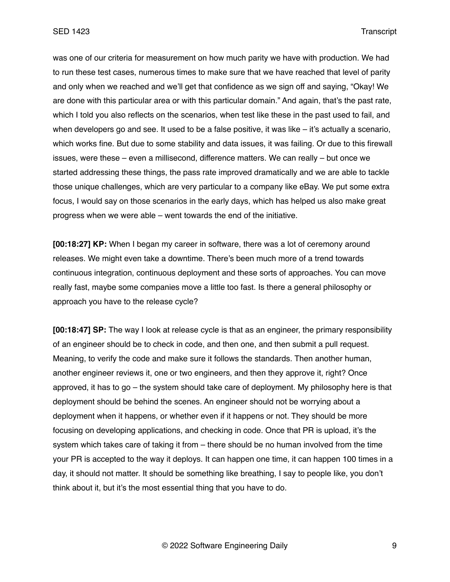was one of our criteria for measurement on how much parity we have with production. We had to run these test cases, numerous times to make sure that we have reached that level of parity and only when we reached and we'll get that confidence as we sign off and saying, "Okay! We are done with this particular area or with this particular domain." And again, that's the past rate, which I told you also reflects on the scenarios, when test like these in the past used to fail, and when developers go and see. It used to be a false positive, it was like  $-$  it's actually a scenario, which works fine. But due to some stability and data issues, it was failing. Or due to this firewall issues, were these – even a millisecond, difference matters. We can really – but once we started addressing these things, the pass rate improved dramatically and we are able to tackle those unique challenges, which are very particular to a company like eBay. We put some extra focus, I would say on those scenarios in the early days, which has helped us also make great progress when we were able – went towards the end of the initiative.

**[00:18:27] KP:** When I began my career in software, there was a lot of ceremony around releases. We might even take a downtime. There's been much more of a trend towards continuous integration, continuous deployment and these sorts of approaches. You can move really fast, maybe some companies move a little too fast. Is there a general philosophy or approach you have to the release cycle?

**[00:18:47] SP:** The way I look at release cycle is that as an engineer, the primary responsibility of an engineer should be to check in code, and then one, and then submit a pull request. Meaning, to verify the code and make sure it follows the standards. Then another human, another engineer reviews it, one or two engineers, and then they approve it, right? Once approved, it has to go – the system should take care of deployment. My philosophy here is that deployment should be behind the scenes. An engineer should not be worrying about a deployment when it happens, or whether even if it happens or not. They should be more focusing on developing applications, and checking in code. Once that PR is upload, it's the system which takes care of taking it from – there should be no human involved from the time your PR is accepted to the way it deploys. It can happen one time, it can happen 100 times in a day, it should not matter. It should be something like breathing, I say to people like, you don't think about it, but it's the most essential thing that you have to do.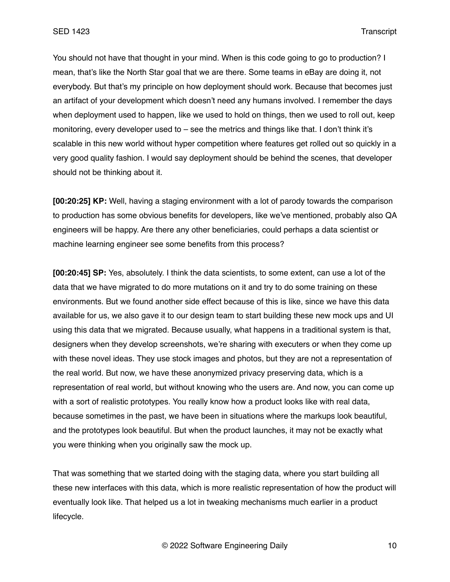You should not have that thought in your mind. When is this code going to go to production? I mean, that's like the North Star goal that we are there. Some teams in eBay are doing it, not everybody. But that's my principle on how deployment should work. Because that becomes just an artifact of your development which doesn't need any humans involved. I remember the days when deployment used to happen, like we used to hold on things, then we used to roll out, keep monitoring, every developer used to – see the metrics and things like that. I don't think it's scalable in this new world without hyper competition where features get rolled out so quickly in a very good quality fashion. I would say deployment should be behind the scenes, that developer should not be thinking about it.

**[00:20:25] KP:** Well, having a staging environment with a lot of parody towards the comparison to production has some obvious benefits for developers, like we've mentioned, probably also QA engineers will be happy. Are there any other beneficiaries, could perhaps a data scientist or machine learning engineer see some benefits from this process?

**[00:20:45] SP:** Yes, absolutely. I think the data scientists, to some extent, can use a lot of the data that we have migrated to do more mutations on it and try to do some training on these environments. But we found another side effect because of this is like, since we have this data available for us, we also gave it to our design team to start building these new mock ups and UI using this data that we migrated. Because usually, what happens in a traditional system is that, designers when they develop screenshots, we're sharing with executers or when they come up with these novel ideas. They use stock images and photos, but they are not a representation of the real world. But now, we have these anonymized privacy preserving data, which is a representation of real world, but without knowing who the users are. And now, you can come up with a sort of realistic prototypes. You really know how a product looks like with real data, because sometimes in the past, we have been in situations where the markups look beautiful, and the prototypes look beautiful. But when the product launches, it may not be exactly what you were thinking when you originally saw the mock up.

That was something that we started doing with the staging data, where you start building all these new interfaces with this data, which is more realistic representation of how the product will eventually look like. That helped us a lot in tweaking mechanisms much earlier in a product lifecycle.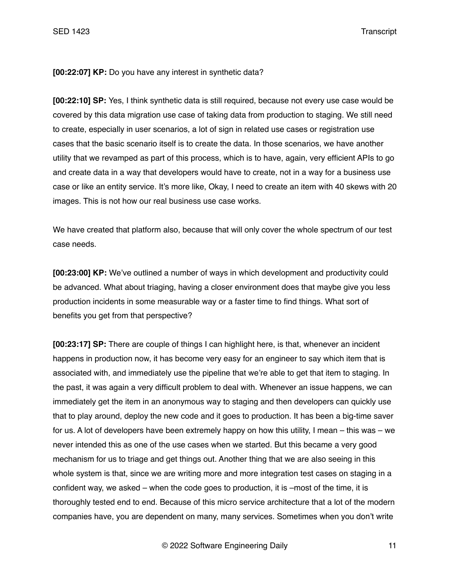**[00:22:07] KP:** Do you have any interest in synthetic data?

**[00:22:10] SP:** Yes, I think synthetic data is still required, because not every use case would be covered by this data migration use case of taking data from production to staging. We still need to create, especially in user scenarios, a lot of sign in related use cases or registration use cases that the basic scenario itself is to create the data. In those scenarios, we have another utility that we revamped as part of this process, which is to have, again, very efficient APIs to go and create data in a way that developers would have to create, not in a way for a business use case or like an entity service. It's more like, Okay, I need to create an item with 40 skews with 20 images. This is not how our real business use case works.

We have created that platform also, because that will only cover the whole spectrum of our test case needs.

**[00:23:00] KP:** We've outlined a number of ways in which development and productivity could be advanced. What about triaging, having a closer environment does that maybe give you less production incidents in some measurable way or a faster time to find things. What sort of benefits you get from that perspective?

**[00:23:17] SP:** There are couple of things I can highlight here, is that, whenever an incident happens in production now, it has become very easy for an engineer to say which item that is associated with, and immediately use the pipeline that we're able to get that item to staging. In the past, it was again a very difficult problem to deal with. Whenever an issue happens, we can immediately get the item in an anonymous way to staging and then developers can quickly use that to play around, deploy the new code and it goes to production. It has been a big-time saver for us. A lot of developers have been extremely happy on how this utility, I mean – this was – we never intended this as one of the use cases when we started. But this became a very good mechanism for us to triage and get things out. Another thing that we are also seeing in this whole system is that, since we are writing more and more integration test cases on staging in a confident way, we asked – when the code goes to production, it is –most of the time, it is thoroughly tested end to end. Because of this micro service architecture that a lot of the modern companies have, you are dependent on many, many services. Sometimes when you don't write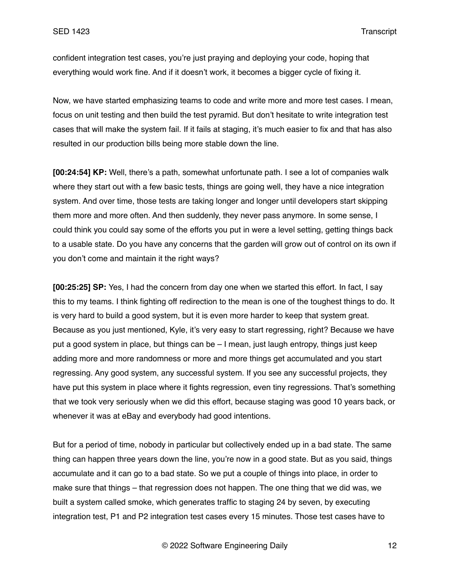confident integration test cases, you're just praying and deploying your code, hoping that everything would work fine. And if it doesn't work, it becomes a bigger cycle of fixing it.

Now, we have started emphasizing teams to code and write more and more test cases. I mean, focus on unit testing and then build the test pyramid. But don't hesitate to write integration test cases that will make the system fail. If it fails at staging, it's much easier to fix and that has also resulted in our production bills being more stable down the line.

**[00:24:54] KP:** Well, there's a path, somewhat unfortunate path. I see a lot of companies walk where they start out with a few basic tests, things are going well, they have a nice integration system. And over time, those tests are taking longer and longer until developers start skipping them more and more often. And then suddenly, they never pass anymore. In some sense, I could think you could say some of the efforts you put in were a level setting, getting things back to a usable state. Do you have any concerns that the garden will grow out of control on its own if you don't come and maintain it the right ways?

**[00:25:25] SP:** Yes, I had the concern from day one when we started this effort. In fact, I say this to my teams. I think fighting off redirection to the mean is one of the toughest things to do. It is very hard to build a good system, but it is even more harder to keep that system great. Because as you just mentioned, Kyle, it's very easy to start regressing, right? Because we have put a good system in place, but things can be – I mean, just laugh entropy, things just keep adding more and more randomness or more and more things get accumulated and you start regressing. Any good system, any successful system. If you see any successful projects, they have put this system in place where it fights regression, even tiny regressions. That's something that we took very seriously when we did this effort, because staging was good 10 years back, or whenever it was at eBay and everybody had good intentions.

But for a period of time, nobody in particular but collectively ended up in a bad state. The same thing can happen three years down the line, you're now in a good state. But as you said, things accumulate and it can go to a bad state. So we put a couple of things into place, in order to make sure that things – that regression does not happen. The one thing that we did was, we built a system called smoke, which generates traffic to staging 24 by seven, by executing integration test, P1 and P2 integration test cases every 15 minutes. Those test cases have to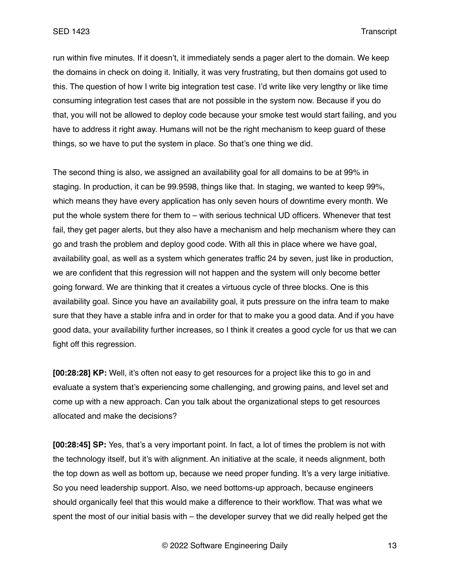run within five minutes. If it doesn't, it immediately sends a pager alert to the domain. We keep the domains in check on doing it. Initially, it was very frustrating, but then domains got used to this. The question of how I write big integration test case. I'd write like very lengthy or like time consuming integration test cases that are not possible in the system now. Because if you do that, you will not be allowed to deploy code because your smoke test would start failing, and you have to address it right away. Humans will not be the right mechanism to keep guard of these things, so we have to put the system in place. So that's one thing we did.

The second thing is also, we assigned an availability goal for all domains to be at 99% in staging. In production, it can be 99.9598, things like that. In staging, we wanted to keep 99%, which means they have every application has only seven hours of downtime every month. We put the whole system there for them to – with serious technical UD officers. Whenever that test fail, they get pager alerts, but they also have a mechanism and help mechanism where they can go and trash the problem and deploy good code. With all this in place where we have goal, availability goal, as well as a system which generates traffic 24 by seven, just like in production, we are confident that this regression will not happen and the system will only become better going forward. We are thinking that it creates a virtuous cycle of three blocks. One is this availability goal. Since you have an availability goal, it puts pressure on the infra team to make sure that they have a stable infra and in order for that to make you a good data. And if you have good data, your availability further increases, so I think it creates a good cycle for us that we can fight off this regression.

**[00:28:28] KP:** Well, it's often not easy to get resources for a project like this to go in and evaluate a system that's experiencing some challenging, and growing pains, and level set and come up with a new approach. Can you talk about the organizational steps to get resources allocated and make the decisions?

**[00:28:45] SP:** Yes, that's a very important point. In fact, a lot of times the problem is not with the technology itself, but it's with alignment. An initiative at the scale, it needs alignment, both the top down as well as bottom up, because we need proper funding. It's a very large initiative. So you need leadership support. Also, we need bottoms-up approach, because engineers should organically feel that this would make a difference to their workflow. That was what we spent the most of our initial basis with – the developer survey that we did really helped get the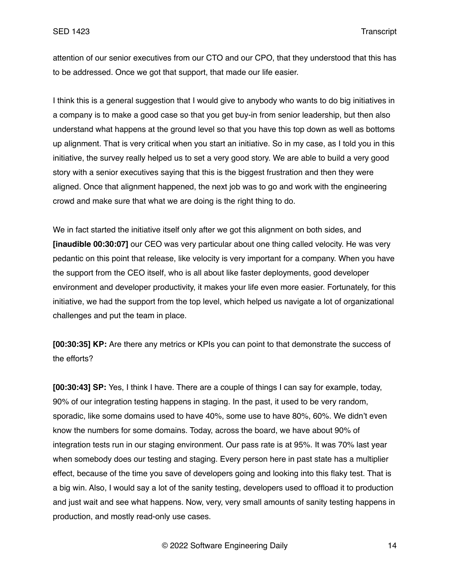attention of our senior executives from our CTO and our CPO, that they understood that this has to be addressed. Once we got that support, that made our life easier.

I think this is a general suggestion that I would give to anybody who wants to do big initiatives in a company is to make a good case so that you get buy-in from senior leadership, but then also understand what happens at the ground level so that you have this top down as well as bottoms up alignment. That is very critical when you start an initiative. So in my case, as I told you in this initiative, the survey really helped us to set a very good story. We are able to build a very good story with a senior executives saying that this is the biggest frustration and then they were aligned. Once that alignment happened, the next job was to go and work with the engineering crowd and make sure that what we are doing is the right thing to do.

We in fact started the initiative itself only after we got this alignment on both sides, and **[inaudible 00:30:07]** our CEO was very particular about one thing called velocity. He was very pedantic on this point that release, like velocity is very important for a company. When you have the support from the CEO itself, who is all about like faster deployments, good developer environment and developer productivity, it makes your life even more easier. Fortunately, for this initiative, we had the support from the top level, which helped us navigate a lot of organizational challenges and put the team in place.

**[00:30:35] KP:** Are there any metrics or KPIs you can point to that demonstrate the success of the efforts?

**[00:30:43] SP:** Yes, I think I have. There are a couple of things I can say for example, today, 90% of our integration testing happens in staging. In the past, it used to be very random, sporadic, like some domains used to have 40%, some use to have 80%, 60%. We didn't even know the numbers for some domains. Today, across the board, we have about 90% of integration tests run in our staging environment. Our pass rate is at 95%. It was 70% last year when somebody does our testing and staging. Every person here in past state has a multiplier effect, because of the time you save of developers going and looking into this flaky test. That is a big win. Also, I would say a lot of the sanity testing, developers used to offload it to production and just wait and see what happens. Now, very, very small amounts of sanity testing happens in production, and mostly read-only use cases.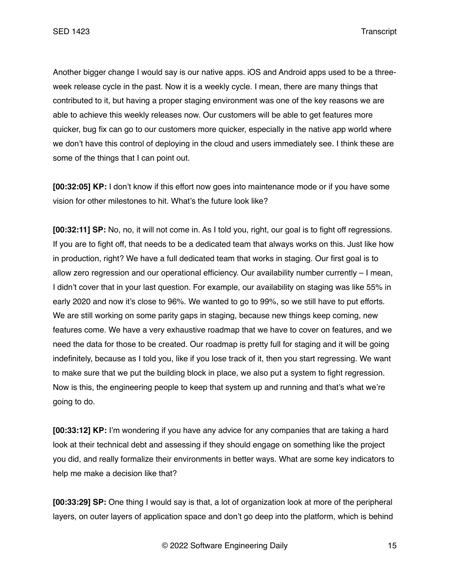Another bigger change I would say is our native apps. iOS and Android apps used to be a threeweek release cycle in the past. Now it is a weekly cycle. I mean, there are many things that contributed to it, but having a proper staging environment was one of the key reasons we are able to achieve this weekly releases now. Our customers will be able to get features more quicker, bug fix can go to our customers more quicker, especially in the native app world where we don't have this control of deploying in the cloud and users immediately see. I think these are some of the things that I can point out.

**[00:32:05] KP:** I don't know if this effort now goes into maintenance mode or if you have some vision for other milestones to hit. What's the future look like?

**[00:32:11] SP:** No, no, it will not come in. As I told you, right, our goal is to fight off regressions. If you are to fight off, that needs to be a dedicated team that always works on this. Just like how in production, right? We have a full dedicated team that works in staging. Our first goal is to allow zero regression and our operational efficiency. Our availability number currently – I mean, I didn't cover that in your last question. For example, our availability on staging was like 55% in early 2020 and now it's close to 96%. We wanted to go to 99%, so we still have to put efforts. We are still working on some parity gaps in staging, because new things keep coming, new features come. We have a very exhaustive roadmap that we have to cover on features, and we need the data for those to be created. Our roadmap is pretty full for staging and it will be going indefinitely, because as I told you, like if you lose track of it, then you start regressing. We want to make sure that we put the building block in place, we also put a system to fight regression. Now is this, the engineering people to keep that system up and running and that's what we're going to do.

**[00:33:12] KP:** I'm wondering if you have any advice for any companies that are taking a hard look at their technical debt and assessing if they should engage on something like the project you did, and really formalize their environments in better ways. What are some key indicators to help me make a decision like that?

**[00:33:29] SP:** One thing I would say is that, a lot of organization look at more of the peripheral layers, on outer layers of application space and don't go deep into the platform, which is behind

© 2022 Software Engineering Daily 15